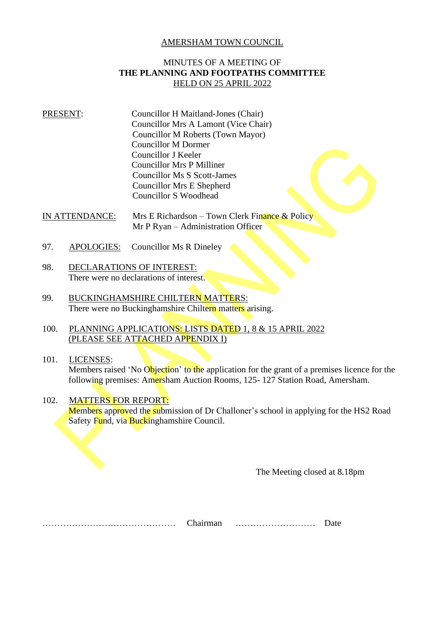## AMERSHAM TOWN COUNCIL

## MINUTES OF A MEETING OF **THE PLANNING AND FOOTPATHS COMMITTEE** HELD ON 25 APRIL 2022

## PRESENT: Councillor H Maitland-Jones (Chair) Councillor Mrs A Lamont (Vice Chair) Councillor M Roberts (Town Mayor) Councillor M Dormer Councillor J Keeler Councillor Mrs P Milliner Councillor Ms S Scott-James Councillor Mrs E Shepherd Councillor S Woodhead

IN ATTENDANCE: Mrs E Richardson – Town Clerk Finance & Policy Mr P Ryan – Administration Officer

- 97. APOLOGIES: Councillor Ms R Dineley
- 98. DECLARATIONS OF INTEREST: There were no declarations of interest.
- 99. BUCKINGHAMSHIRE CHILTERN MATTERS: There were no Buckinghamshire Chiltern matters arising.
- 100. PLANNING APPLICATIONS: LISTS DATED 1, 8 & 15 APRIL 2022 (PLEASE SEE ATTACHED APPENDIX I)

## 101. LICENSES: Members raised 'No Objection' to the application for the grant of a premises licence for the following premises: Amersham Auction Rooms, 125- 127 Station Road, Amersham.

102. MATTERS FOR REPORT: Members approved the submission of Dr Challoner's school in applying for the HS2 Road Safety Fund, via Buckinghamshire Council.

The Meeting closed at 8.18pm

……………………………………… Chairman ……………………… Date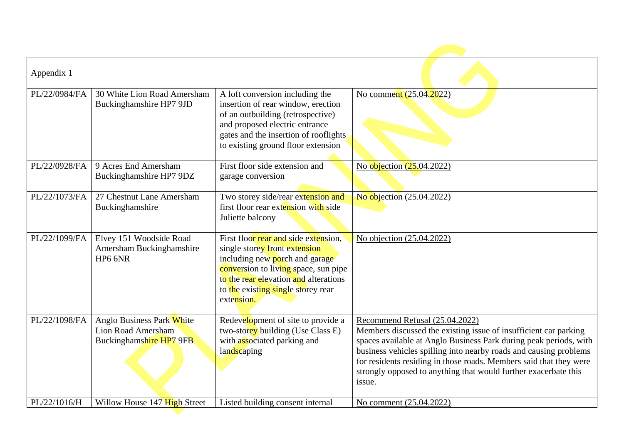| Appendix 1    |                                                                            |                                                                                                                                                                                                                                              |                                                                                                                                                                                                                                                                                                                                                                                                 |
|---------------|----------------------------------------------------------------------------|----------------------------------------------------------------------------------------------------------------------------------------------------------------------------------------------------------------------------------------------|-------------------------------------------------------------------------------------------------------------------------------------------------------------------------------------------------------------------------------------------------------------------------------------------------------------------------------------------------------------------------------------------------|
| PL/22/0984/FA | 30 White Lion Road Amersham<br>Buckinghamshire HP7 9JD                     | A loft conversion including the<br>insertion of rear window, erection<br>of an outbuilding (retrospective)<br>and proposed electric entrance<br>gates and the insertion of rooflights<br>to existing ground floor extension                  | No comment (25.04.2022)                                                                                                                                                                                                                                                                                                                                                                         |
| PL/22/0928/FA | 9 Acres End Amersham<br>Buckinghamshire HP7 9DZ                            | First floor side extension and<br>garage conversion                                                                                                                                                                                          | No objection (25.04.2022)                                                                                                                                                                                                                                                                                                                                                                       |
| PL/22/1073/FA | 27 Chestnut Lane Amersham<br>Buckinghamshire                               | Two storey side/rear extension and<br>first floor rear extension with side<br>Juliette balcony                                                                                                                                               | No objection (25.04.2022)                                                                                                                                                                                                                                                                                                                                                                       |
| PL/22/1099/FA | Elvey 151 Woodside Road<br>Amersham Buckinghamshire<br>HP6 6NR             | First floor rear and side extension,<br>single storey front extension<br>including new porch and garage<br>conversion to living space, sun pipe<br>to the rear elevation and alterations<br>to the existing single storey rear<br>extension. | No objection (25.04.2022)                                                                                                                                                                                                                                                                                                                                                                       |
| PL/22/1098/FA | Anglo Business Park White<br>Lion Road Amersham<br>Buckinghamshire HP7 9FB | Redevelopment of site to provide a<br>two-storey building (Use Class E)<br>with associated parking and<br>landscaping                                                                                                                        | Recommend Refusal (25.04.2022)<br>Members discussed the existing issue of insufficient car parking<br>spaces available at Anglo Business Park during peak periods, with<br>business vehicles spilling into nearby roads and causing problems<br>for residents residing in those roads. Members said that they were<br>strongly opposed to anything that would further exacerbate this<br>issue. |
| PL/22/1016/H  | Willow House 147 High Street                                               | Listed building consent internal                                                                                                                                                                                                             | No comment (25.04.2022)                                                                                                                                                                                                                                                                                                                                                                         |